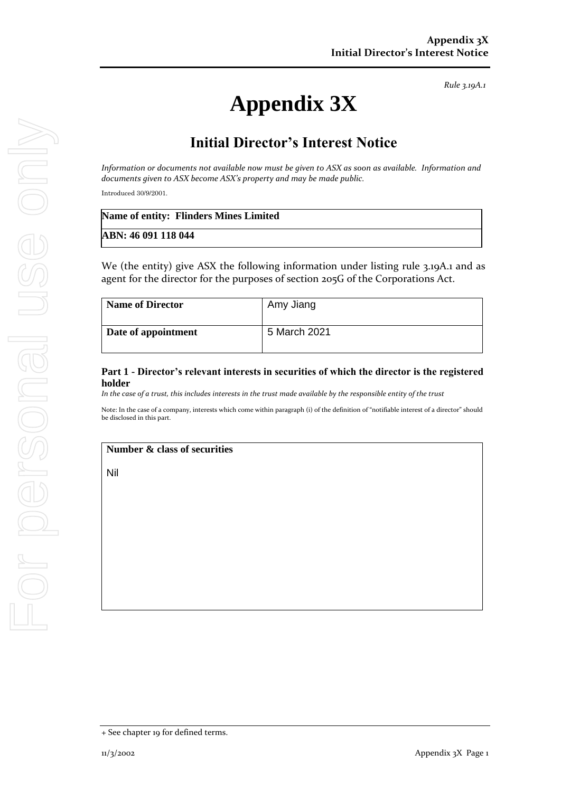*Rule 3.19A.1*

# **Appendix 3X**

# **Initial Director's Interest Notice**

*Information or documents not available now must be given to ASX as soon as available. Information and documents given to ASX become ASX's property and may be made public.*

Introduced 30/9/2001.

| Name of entity: Flinders Mines Limited |  |
|----------------------------------------|--|
| ABN: 46 091 118 044                    |  |

We (the entity) give ASX the following information under listing rule 3.19A.1 and as agent for the director for the purposes of section 205G of the Corporations Act.

| <b>Name of Director</b> | Amy Jiang    |
|-------------------------|--------------|
| Date of appointment     | 5 March 2021 |

## **Part 1 - Director's relevant interests in securities of which the director is the registered holder**

*In the case of a trust, this includes interests in the trust made available by the responsible entity of the trust*

Note: In the case of a company, interests which come within paragraph (i) of the definition of "notifiable interest of a director" should be disclosed in this part.

#### **Number & class of securities**

Nil

<sup>+</sup> See chapter 19 for defined terms.